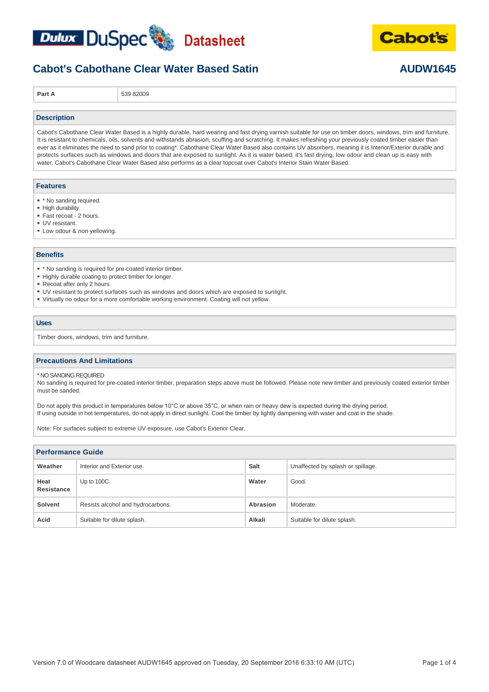



**Cabot's** 

**Part A** 539 82009

### **Description**

Cabot's Cabothane Clear Water Based is a highly durable, hard wearing and fast drying varnish suitable for use on timber doors, windows, trim and furniture. It is resistant to chemicals, oils, solvents and withstands abrasion, scuffing and scratching. It makes refreshing your previously coated timber easier than ever as it eliminates the need to sand prior to coating\*. Cabothane Clear Water Based also contains UV absorbers, meaning it is Interior/Exterior durable and protects surfaces such as windows and doors that are exposed to sunlight. As it is water based, it's fast drying, low odour and clean up is easy with water. Cabot's Cabothane Clear Water Based also performs as a clear topcoat over Cabot's Interior Stain Water Based.

#### **Features**

- \* \* No sanding required.
- High durability.
- Fast recoat 2 hours.
- UV resistant.
- Low odour & non yellowing.

### **Benefits**

- \* No sanding is required for pre-coated interior timber.
- Highly durable coating to protect timber for longer.
- Recoat after only 2 hours.
- UV resistant to protect surfaces such as windows and doors which are exposed to sunlight.
- Virtually no odour for a more comfortable working environment. Coating will not yellow.

#### **Uses**

Timber doors, windows, trim and furniture.

### **Precautions And Limitations**

\* NO SANDING REQUIRED

No sanding is required for pre-coated interior timber, preparation steps above must be followed. Please note new timber and previously coated exterior timber must be sanded.

Do not apply this product in temperatures below 10°C or above 35°C, or when rain or heavy dew is expected during the drying period. If using outside in hot temperatures, do not apply in direct sunlight. Cool the timber by lightly dampening with water and coat in the shade.

Note: For surfaces subject to extreme UV exposure, use Cabot's Exterior Clear.

| <b>Performance Guide</b> |                                   |          |                                   |  |
|--------------------------|-----------------------------------|----------|-----------------------------------|--|
| Weather                  | Interior and Exterior use.        | Salt     | Unaffected by splash or spillage. |  |
| Heat<br>Resistance       | Up to 100C.                       | Water    | Good.                             |  |
| Solvent                  | Resists alcohol and hydrocarbons. | Abrasion | Moderate.                         |  |
| Acid                     | Suitable for dilute splash.       | Alkali   | Suitable for dilute splash.       |  |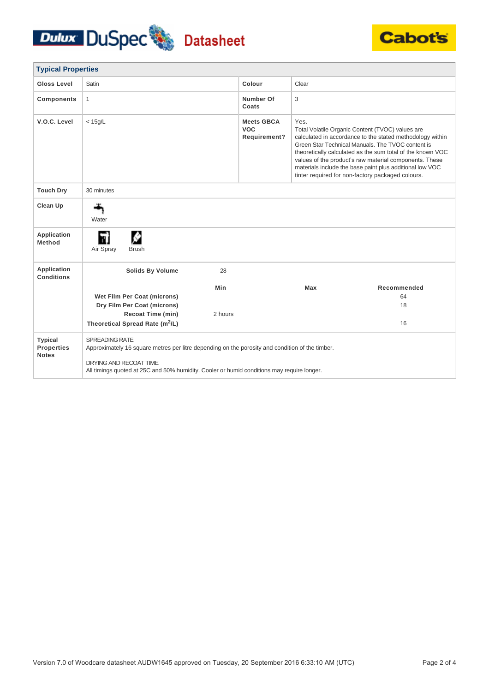## Dulux DuSpec Datasheet



| <b>Typical Properties</b>                           |                                                                                                                                                                                                                                           |         |                                                 |       |                                                                                                                                                                                                                                                                                                                                                                                                             |
|-----------------------------------------------------|-------------------------------------------------------------------------------------------------------------------------------------------------------------------------------------------------------------------------------------------|---------|-------------------------------------------------|-------|-------------------------------------------------------------------------------------------------------------------------------------------------------------------------------------------------------------------------------------------------------------------------------------------------------------------------------------------------------------------------------------------------------------|
| Gloss Level                                         | Satin                                                                                                                                                                                                                                     |         | Colour                                          | Clear |                                                                                                                                                                                                                                                                                                                                                                                                             |
| <b>Components</b>                                   | $\mathbf{1}$                                                                                                                                                                                                                              |         | <b>Number Of</b><br>Coats                       | 3     |                                                                                                                                                                                                                                                                                                                                                                                                             |
| V.O.C. Level                                        | $<$ 15g/L                                                                                                                                                                                                                                 |         | <b>Meets GBCA</b><br><b>VOC</b><br>Requirement? | Yes.  | Total Volatile Organic Content (TVOC) values are<br>calculated in accordance to the stated methodology within<br>Green Star Technical Manuals. The TVOC content is<br>theoretically calculated as the sum total of the known VOC<br>values of the product's raw material components. These<br>materials include the base paint plus additional low VOC<br>tinter required for non-factory packaged colours. |
| <b>Touch Dry</b>                                    | 30 minutes                                                                                                                                                                                                                                |         |                                                 |       |                                                                                                                                                                                                                                                                                                                                                                                                             |
| Clean Up                                            | Water                                                                                                                                                                                                                                     |         |                                                 |       |                                                                                                                                                                                                                                                                                                                                                                                                             |
| <b>Application</b><br>Method                        | M۱<br>Air Spray<br><b>Brush</b>                                                                                                                                                                                                           |         |                                                 |       |                                                                                                                                                                                                                                                                                                                                                                                                             |
| Application<br><b>Conditions</b>                    | <b>Solids By Volume</b>                                                                                                                                                                                                                   | 28      |                                                 |       |                                                                                                                                                                                                                                                                                                                                                                                                             |
|                                                     |                                                                                                                                                                                                                                           | Min     |                                                 | Max   | Recommended                                                                                                                                                                                                                                                                                                                                                                                                 |
|                                                     | Wet Film Per Coat (microns)                                                                                                                                                                                                               |         |                                                 |       | 64                                                                                                                                                                                                                                                                                                                                                                                                          |
|                                                     | Dry Film Per Coat (microns)                                                                                                                                                                                                               |         |                                                 |       | 18                                                                                                                                                                                                                                                                                                                                                                                                          |
|                                                     | Recoat Time (min)<br>Theoretical Spread Rate (m <sup>2</sup> /L)                                                                                                                                                                          | 2 hours |                                                 |       | 16                                                                                                                                                                                                                                                                                                                                                                                                          |
| <b>Typical</b><br><b>Properties</b><br><b>Notes</b> | SPREADING RATE<br>Approximately 16 square metres per litre depending on the porosity and condition of the timber.<br>DRYING AND RECOAT TIME<br>All timings quoted at 25C and 50% humidity. Cooler or humid conditions may require longer. |         |                                                 |       |                                                                                                                                                                                                                                                                                                                                                                                                             |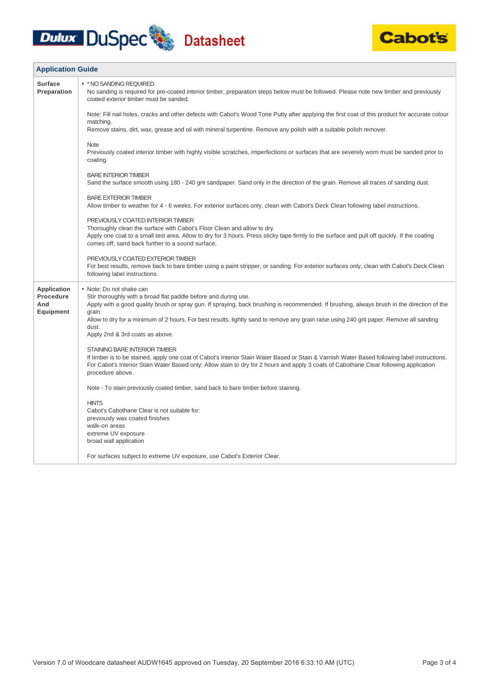# **Dulux DuSpec** Datasheet



| <b>Application Guide</b>                            |                                                                                                                                                                                                                                                                                                                                                                                                                                             |  |
|-----------------------------------------------------|---------------------------------------------------------------------------------------------------------------------------------------------------------------------------------------------------------------------------------------------------------------------------------------------------------------------------------------------------------------------------------------------------------------------------------------------|--|
| <b>Surface</b><br>Preparation                       | * * NO SANDING REQUIRED<br>No sanding is required for pre-coated interior timber, preparation steps below must be followed. Please note new timber and previously<br>coated exterior timber must be sanded.                                                                                                                                                                                                                                 |  |
|                                                     | Note: Fill nail holes, cracks and other defects with Cabot's Wood Tone Putty after applying the first coat of this product for accurate colour<br>matching.<br>Remove stains, dirt, wax, grease and oil with mineral turpentine. Remove any polish with a suitable polish remover.                                                                                                                                                          |  |
|                                                     | <b>Note</b><br>Previously coated interior timber with highly visible scratches, imperfections or surfaces that are severely worn must be sanded prior to<br>coating.                                                                                                                                                                                                                                                                        |  |
|                                                     | <b>BARE INTERIOR TIMBER</b><br>Sand the surface smooth using 180 - 240 grit sandpaper. Sand only in the direction of the grain. Remove all traces of sanding dust.                                                                                                                                                                                                                                                                          |  |
|                                                     | <b>BARE EXTERIOR TIMBER</b><br>Allow timber to weather for 4 - 6 weeks. For exterior surfaces only, clean with Cabot's Deck Clean following label instructions.                                                                                                                                                                                                                                                                             |  |
|                                                     | PREVIOUSLY COATED INTERIOR TIMBER<br>Thoroughly clean the surface with Cabot's Floor Clean and allow to dry.<br>Apply one coat to a small test area. Allow to dry for 3 hours. Press sticky tape firmly to the surface and pull off quickly. If the coating<br>comes off, sand back further to a sound surface.                                                                                                                             |  |
|                                                     | PREVIOUSLY COATED EXTERIOR TIMBER<br>For best results, remove back to bare timber using a paint stripper, or sanding. For exterior surfaces only, clean with Cabot's Deck Clean<br>following label instructions.                                                                                                                                                                                                                            |  |
| <b>Application</b><br>Procedure<br>And<br>Equipment | • Note: Do not shake can<br>Stir thoroughly with a broad flat paddle before and during use.<br>Apply with a good quality brush or spray gun. If spraying, back brushing is recommended. If brushing, always brush in the direction of the<br>grain.<br>Allow to dry for a minimum of 2 hours. For best results, lightly sand to remove any grain raise using 240 grit paper. Remove all sanding<br>dust.<br>Apply 2nd & 3rd coats as above. |  |
|                                                     | STAINING BARE INTERIOR TIMBER<br>If timber is to be stained, apply one coat of Cabot's Interior Stain Water Based or Stain & Varnish Water Based following label instructions.<br>For Cabot's Interior Stain Water Based only: Allow stain to dry for 2 hours and apply 3 coats of Cabothane Clear following application<br>procedure above.                                                                                                |  |
|                                                     | Note - To stain previously coated timber, sand back to bare timber before staining.                                                                                                                                                                                                                                                                                                                                                         |  |
|                                                     | <b>HINTS</b><br>Cabot's Cabothane Clear is not suitable for:<br>previously wax coated finishes<br>walk-on areas<br>extreme UV exposure<br>broad wall application                                                                                                                                                                                                                                                                            |  |
|                                                     | For surfaces subject to extreme UV exposure, use Cabot's Exterior Clear.                                                                                                                                                                                                                                                                                                                                                                    |  |